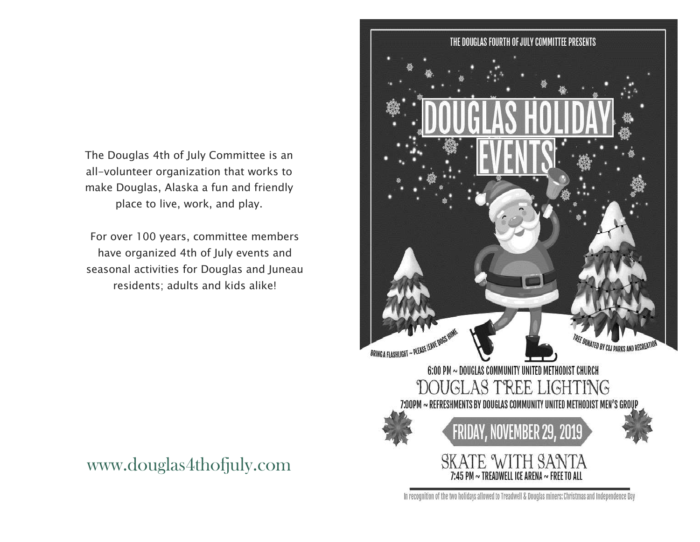The Douglas 4th of July Committee is an all-volunteer organization that works to make Douglas, Alaska a fun and friendly place to live, work, and play.

For over 100 years, committee members have organized 4th of July events and seasonal activities for Douglas and Juneau residents; adults and kids alike!





In recognition of the two holidays allowed to Treadwell & Douglas miners: Christmas and Independence Day